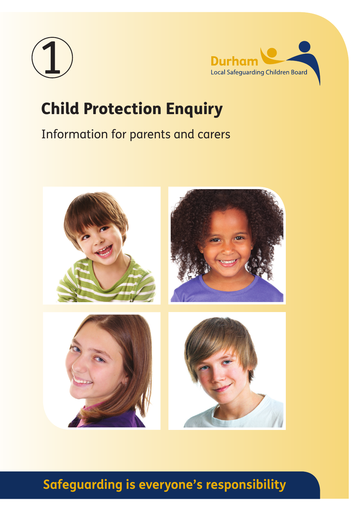



# Child Protection Enquiry

# Information for parents and carers



# **Safeguarding is everyone's responsibility**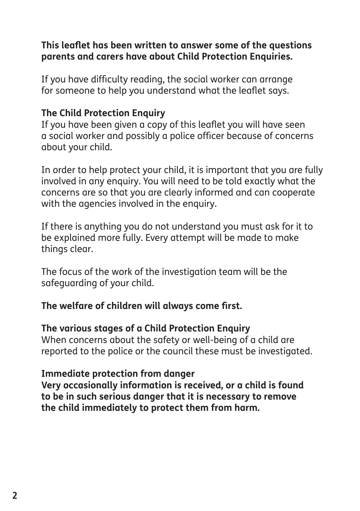#### **This leaflet has been written to answer some of the questions parents and carers have about Child Protection Enquiries.**

If you have difficulty reading, the social worker can arrange for someone to help you understand what the leaflet says.

#### **The Child Protection Enquiry**

If you have been given a copy of this leaflet you will have seen a social worker and possibly a police officer because of concerns about your child.

In order to help protect your child, it is important that you are fully involved in any enquiry. You will need to be told exactly what the concerns are so that you are clearly informed and can cooperate with the agencies involved in the enquiry.

If there is anything you do not understand you must ask for it to be explained more fully. Every attempt will be made to make things clear.

The focus of the work of the investigation team will be the safeguarding of your child.

#### **The welfare of children will always come first.**

#### **The various stages of a Child Protection Enquiry**

When concerns about the safety or well-being of a child are reported to the police or the council these must be investigated.

#### **Immediate protection from danger**

**Very occasionally information is received, or a child is found to be in such serious danger that it is necessary to remove the child immediately to protect them from harm.**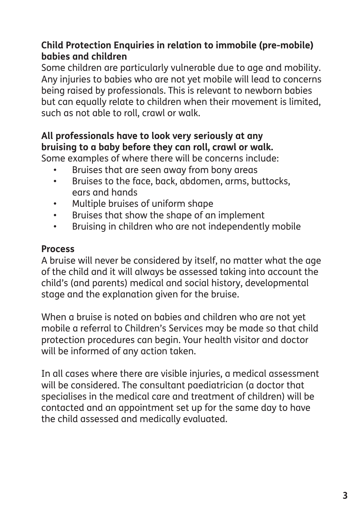## **Child Protection Enquiries in relation to immobile (pre-mobile) babies and children**

Some children are particularly vulnerable due to age and mobility. Any injuries to babies who are not yet mobile will lead to concerns being raised by professionals. This is relevant to newborn babies but can equally relate to children when their movement is limited, such as not able to roll, crawl or walk.

# **All professionals have to look very seriously at any bruising to a baby before they can roll, crawl or walk.**

Some examples of where there will be concerns include:

- Bruises that are seen away from bony areas
- Bruises to the face, back, abdomen, arms, buttocks, ears and hands
- Multiple bruises of uniform shape
- Bruises that show the shape of an implement
- Bruising in children who are not independently mobile

## **Process**

A bruise will never be considered by itself, no matter what the age of the child and it will always be assessed taking into account the child's (and parents) medical and social history, developmental stage and the explanation given for the bruise.

When a bruise is noted on babies and children who are not yet mobile a referral to Children's Services may be made so that child protection procedures can begin. Your health visitor and doctor will be informed of any action taken.

In all cases where there are visible injuries, a medical assessment will be considered. The consultant paediatrician (a doctor that specialises in the medical care and treatment of children) will be contacted and an appointment set up for the same day to have the child assessed and medically evaluated.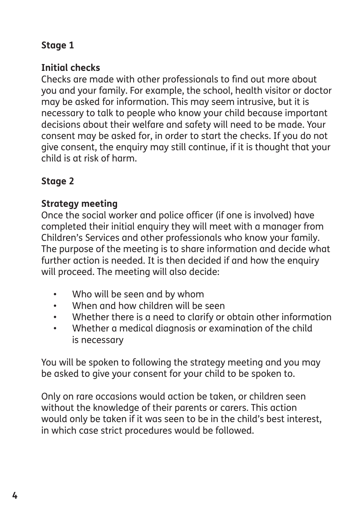# **Stage 1**

## **Initial checks**

Checks are made with other professionals to find out more about you and your family. For example, the school, health visitor or doctor may be asked for information. This may seem intrusive, but it is necessary to talk to people who know your child because important decisions about their welfare and safety will need to be made. Your consent may be asked for, in order to start the checks. If you do not give consent, the enquiry may still continue, if it is thought that your child is at risk of harm.

# **Stage 2**

## **Strategy meeting**

Once the social worker and police officer (if one is involved) have completed their initial enquiry they will meet with a manager from Children's Services and other professionals who know your family. The purpose of the meeting is to share information and decide what further action is needed. It is then decided if and how the enquiry will proceed. The meeting will also decide:

- Who will be seen and by whom
- When and how children will be seen
- Whether there is a need to clarify or obtain other information
- Whether a medical diagnosis or examination of the child is necessary

You will be spoken to following the strategy meeting and you may be asked to give your consent for your child to be spoken to.

Only on rare occasions would action be taken, or children seen without the knowledge of their parents or carers. This action would only be taken if it was seen to be in the child's best interest, in which case strict procedures would be followed.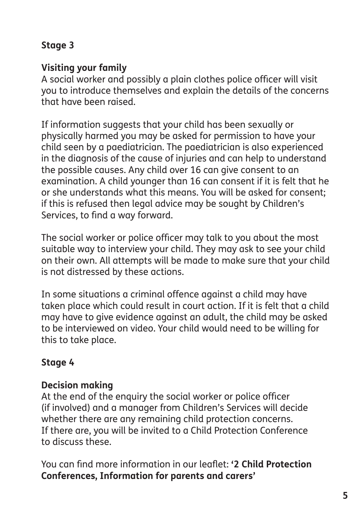# **Stage 3**

### **Visiting your family**

A social worker and possibly a plain clothes police officer will visit you to introduce themselves and explain the details of the concerns that have been raised.

If information suggests that your child has been sexually or physically harmed you may be asked for permission to have your child seen by a paediatrician. The paediatrician is also experienced in the diagnosis of the cause of injuries and can help to understand the possible causes. Any child over 16 can give consent to an examination. A child younger than 16 can consent if it is felt that he or she understands what this means. You will be asked for consent; if this is refused then legal advice may be sought by Children's Services, to find a way forward.

The social worker or police officer may talk to you about the most suitable way to interview your child. They may ask to see your child on their own. All attempts will be made to make sure that your child is not distressed by these actions.

In some situations a criminal offence against a child may have taken place which could result in court action. If it is felt that a child may have to give evidence against an adult, the child may be asked to be interviewed on video. Your child would need to be willing for this to take place.

## **Stage 4**

### **Decision making**

At the end of the enquiry the social worker or police officer (if involved) and a manager from Children's Services will decide whether there are any remaining child protection concerns. If there are, you will be invited to a Child Protection Conference to discuss these.

You can find more information in our leaflet: **'2 Child Protection Conferences, Information for parents and carers'**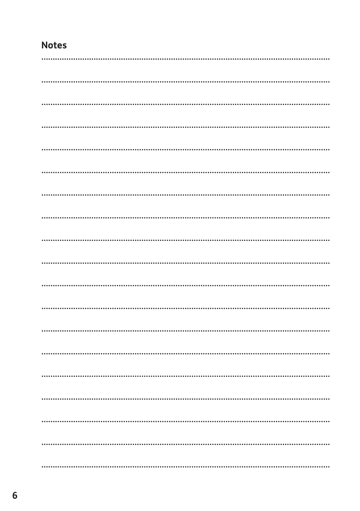## **Notes**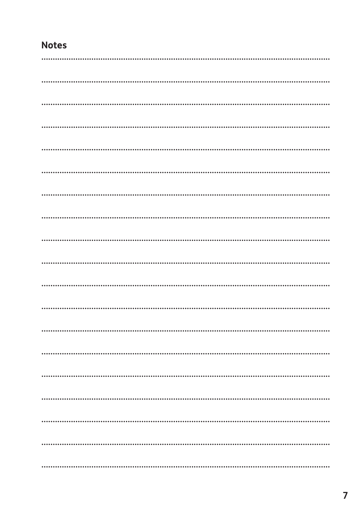## **Notes**